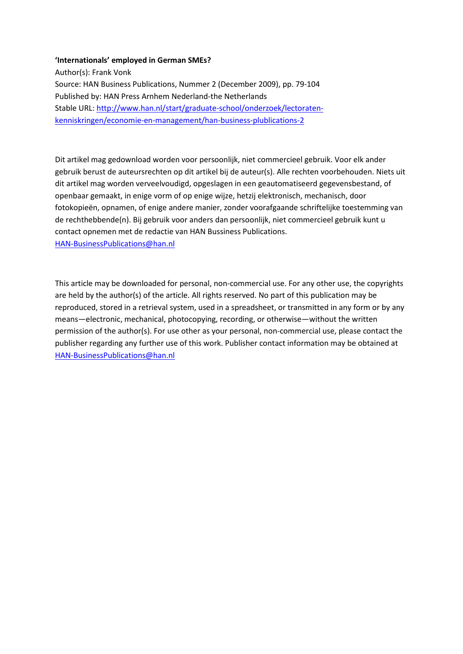#### **'Internationals' employed in German SMEs?**

Author(s): Frank Vonk Source: HAN Business Publications, Nummer 2 (December 2009), pp. 79-104 Published by: HAN Press Arnhem Nederland-the Netherlands Stable URL: [http://www.han.nl/start/graduate-school/onderzoek/lectoraten](http://www.han.nl/start/graduate-school/onderzoek/lectoraten-kenniskringen/economie-en-management/han-business-plublications-2)[kenniskringen/economie-en-management/han-business-plublications-2](http://www.han.nl/start/graduate-school/onderzoek/lectoraten-kenniskringen/economie-en-management/han-business-plublications-2)

Dit artikel mag gedownload worden voor persoonlijk, niet commercieel gebruik. Voor elk ander gebruik berust de auteursrechten op dit artikel bij de auteur(s). Alle rechten voorbehouden. Niets uit dit artikel mag worden verveelvoudigd, opgeslagen in een geautomatiseerd gegevensbestand, of openbaar gemaakt, in enige vorm of op enige wijze, hetzij elektronisch, mechanisch, door fotokopieën, opnamen, of enige andere manier, zonder voorafgaande schriftelijke toestemming van de rechthebbende(n). Bij gebruik voor anders dan persoonlijk, niet commercieel gebruik kunt u contact opnemen met de redactie van HAN Bussiness Publications. [HAN-BusinessPublications@han.nl](mailto:HAN-BusinessPublications@han.nl)

This article may be downloaded for personal, non-commercial use. For any other use, the copyrights are held by the author(s) of the article. All rights reserved. No part of this publication may be reproduced, stored in a retrieval system, used in a spreadsheet, or transmitted in any form or by any means—electronic, mechanical, photocopying, recording, or otherwise—without the written permission of the author(s). For use other as your personal, non-commercial use, please contact the publisher regarding any further use of this work. Publisher contact information may be obtained at [HAN-BusinessPublications@han.nl](mailto:HAN-BusinessPublications@han.nl)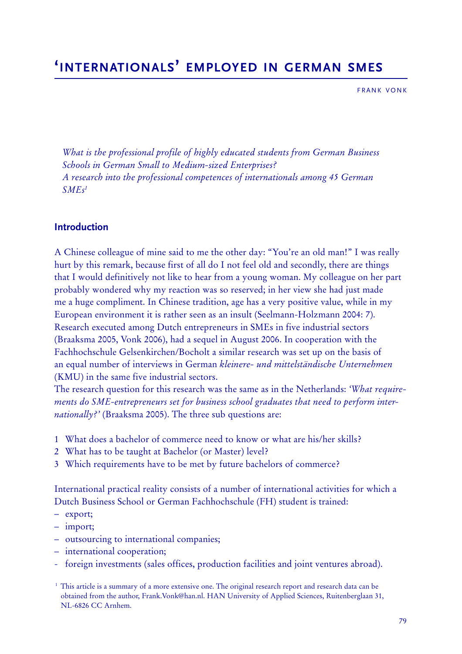# **'INTERNATIONALS' EMPLOYED IN GERMAN SMES**

FRANK VONK

*What is the professional profile of highly educated students from German Business Schools in German Small to Medium-sized Enterprises? A research into the professional competences of internationals among 45 German*  $SMEs<sup>1</sup>$ 

# **Introduction**

A Chinese colleague of mine said to me the other day: "You're an old man!" I was really hurt by this remark, because first of all do I not feel old and secondly, there are things that I would definitively not like to hear from a young woman. My colleague on her part probably wondered why my reaction was so reserved; in her view she had just made me a huge compliment. In Chinese tradition, age has a very positive value, while in my European environment it is rather seen as an insult (Seelmann-Holzmann 2004: 7). Research executed among Dutch entrepreneurs in SMEs in five industrial sectors (Braaksma 2005, Vonk 2006), had a sequel in August 2006. In cooperation with the Fachhochschule Gelsenkirchen/Bocholt a similar research was set up on the basis of an equal number of interviews in German *kleinere- und mittelständische Unternehmen* (KMU) in the same five industrial sectors.

The research question for this research was the same as in the Netherlands: *'What requirements do SME-entrepreneurs set for business school graduates that need to perform internationally?'* (Braaksma 2005). The three sub questions are:

- 1 What does a bachelor of commerce need to know or what are his/her skills?
- 2 What has to be taught at Bachelor (or Master) level?
- 3 Which requirements have to be met by future bachelors of commerce?

International practical reality consists of a number of international activities for which a Dutch Business School or German Fachhochschule (FH) student is trained:

- export;
- import;
- outsourcing to international companies;
- international cooperation;
- foreign investments (sales offices, production facilities and joint ventures abroad).

<sup>&</sup>lt;sup>1</sup> This article is a summary of a more extensive one. The original research report and research data can be obtained from the author, Frank.Vonk@han.nl. HAN University of Applied Sciences, Ruitenberglaan 31, NL-6826 CC Arnhem.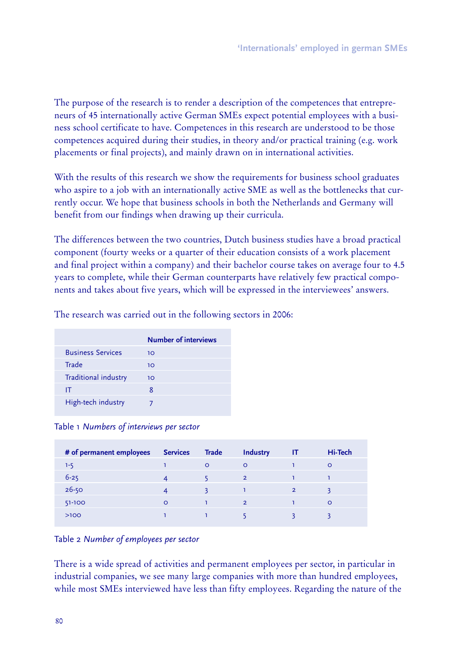The purpose of the research is to render a description of the competences that entrepreneurs of 45 internationally active German SMEs expect potential employees with a business school certificate to have. Competences in this research are understood to be those competences acquired during their studies, in theory and/or practical training (e.g. work placements or final projects), and mainly drawn on in international activities.

With the results of this research we show the requirements for business school graduates who aspire to a job with an internationally active SME as well as the bottlenecks that currently occur. We hope that business schools in both the Netherlands and Germany will benefit from our findings when drawing up their curricula.

The differences between the two countries, Dutch business studies have a broad practical component (fourty weeks or a quarter of their education consists of a work placement and final project within a company) and their bachelor course takes on average four to 4.5 years to complete, while their German counterparts have relatively few practical components and takes about five years, which will be expressed in the interviewees' answers.

|                          | <b>Number of interviews</b> |
|--------------------------|-----------------------------|
| <b>Business Services</b> | 10                          |
| Trade                    | 10                          |
| Traditional industry     | 10                          |
| IT                       | 8                           |
| High-tech industry       |                             |

The research was carried out in the following sectors in 2006:

Table 1 *Numbers of interviews per sector*

| # of permanent employees | <b>Services</b> | <b>Trade</b> | <b>Industry</b> | -IT            | Hi-Tech |
|--------------------------|-----------------|--------------|-----------------|----------------|---------|
| $1 - 5$                  |                 | $\circ$      | $\Omega$        |                | $\circ$ |
| $6 - 25$                 |                 |              | $\overline{2}$  |                |         |
| $26 - 50$                |                 |              |                 | $\overline{2}$ |         |
| 51-100                   | $\circ$         |              | $\overline{2}$  |                | $\circ$ |
| $>100$                   |                 |              |                 |                |         |
|                          |                 |              |                 |                |         |

Table 2 *Number of employees per sector*

There is a wide spread of activities and permanent employees per sector, in particular in industrial companies, we see many large companies with more than hundred employees, while most SMEs interviewed have less than fifty employees. Regarding the nature of the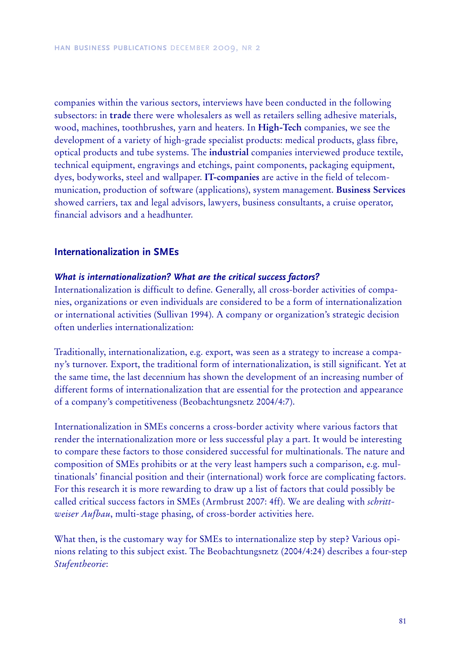companies within the various sectors, interviews have been conducted in the following subsectors: in **trade** there were wholesalers as well as retailers selling adhesive materials, wood, machines, toothbrushes, yarn and heaters. In **High-Tech** companies, we see the development of a variety of high-grade specialist products: medical products, glass fibre, optical products and tube systems. The **industrial** companies interviewed produce textile, technical equipment, engravings and etchings, paint components, packaging equipment, dyes, bodyworks, steel and wallpaper. **IT-companies** are active in the field of telecommunication, production of software (applications), system management. **Business Services** showed carriers, tax and legal advisors, lawyers, business consultants, a cruise operator, financial advisors and a headhunter.

# **Inte rna tiona liz a tion in S M E s**

# *What is internationalization? What are the critical success factors?*

Internationalization is difficult to define. Generally, all cross-border activities of companies, organizations or even individuals are considered to be a form of internationalization or international activities (Sullivan 1994). A company or organization's strategic decision often underlies internationalization:

Traditionally, internationalization, e.g. export, was seen as a strategy to increase a company's turnover. Export, the traditional form of internationalization, is still significant. Yet at the same time, the last decennium has shown the development of an increasing number of different forms of internationalization that are essential for the protection and appearance of a company's competitiveness (Beobachtungsnetz 2004/4:7).

Internationalization in SMEs concerns a cross-border activity where various factors that render the internationalization more or less successful play a part. It would be interesting to compare these factors to those considered successful for multinationals. The nature and composition of SMEs prohibits or at the very least hampers such a comparison, e.g. multinationals' financial position and their (international) work force are complicating factors. For this research it is more rewarding to draw up a list of factors that could possibly be called critical success factors in SMEs (Armbrust 2007: 4ff). We are dealing with *schrittw eiser Aufbau*, multi-stage phasing, of cross-border activities here.

What then, is the customary way for SMEs to internationalize step by step? Various opinions relating to this subject exist. The Beobachtungsnetz (2004/4:24) describes a four-step *Stufentheorie*: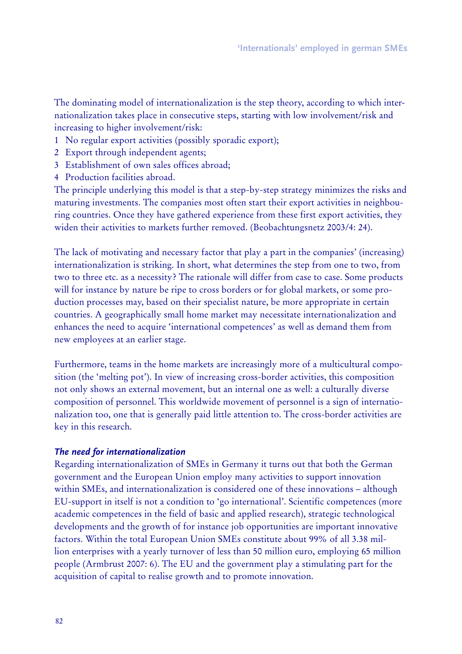The dominating model of internationalization is the step theory, according to which internationalization takes place in consecutive steps, starting with low involvement/risk and increasing to higher involvement/risk:

- 1 No regular export activities (possibly sporadic export);
- 2 Export through independent agents;
- 3 Establishment of own sales offices abroad;
- 4 Production facilities abroad.

The principle underlying this model is that a step-by-step strategy minimizes the risks and maturing investments. The companies most often start their export activities in neighbouring countries. Once they have gathered experience from these first export activities, they widen their activities to markets further removed. (Beobachtungsnetz 2003/4: 24).

The lack of motivating and necessary factor that play a part in the companies' (increasing) internationalization is striking. In short, what determines the step from one to two, from two to three etc. as a necessity? The rationale will differ from case to case. Some products will for instance by nature be ripe to cross borders or for global markets, or some production processes may, based on their specialist nature, be more appropriate in certain countries. A geographically small home market may necessitate internationalization and enhances the need to acquire 'international competences' as well as demand them from new employees at an earlier stage.

Furthermore, teams in the home markets are increasingly more of a multicultural composition (the 'melting pot'). In view of increasing cross-border activities, this composition not only shows an external movement, but an internal one as well: a culturally diverse composition of personnel. This worldwide movement of personnel is a sign of internationalization too, one that is generally paid little attention to. The cross-border activities are key in this research.

# *T he need for internationalization*

Regarding internationalization of SMEs in Germany it turns out that both the German government and the European Union employ many activities to support innovation within SMEs, and internationalization is considered one of these innovations – although EU-support in itself is not a condition to 'go international'. Scientific competences (more academic competences in the field of basic and applied research), strategic technological developments and the growth of for instance job opportunities are important innovative factors. Within the total European Union SMEs constitute about 99% of all 3.38 million enterprises with a yearly turnover of less than 50 million euro, employing 65 million people (Armbrust 2007: 6). The EU and the government play a stimulating part for the acquisition of capital to realise growth and to promote innovation.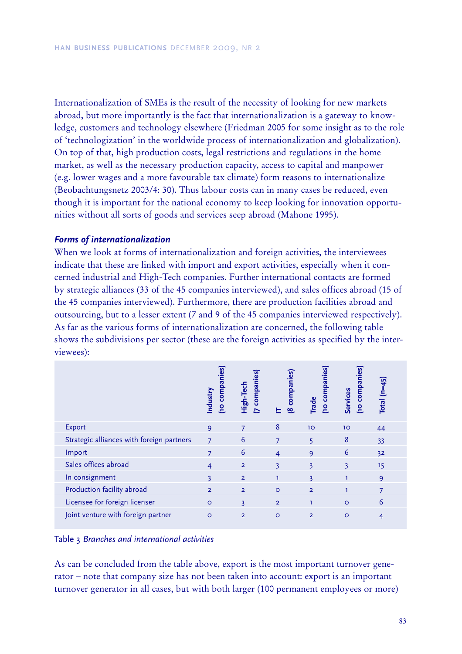Internationalization of SMEs is the result of the necessity of looking for new markets abroad, but more importantly is the fact that internationalization is a gateway to knowledge, customers and technology elsewhere (Friedman 2005 for some insight as to the role of 'technologization' in the worldwide process of internationalization and globalization). On top of that, high production costs, legal restrictions and regulations in the home market, as well as the necessary production capacity, access to capital and manpower (e.g. lower wages and a more favourable tax climate) form reasons to internationalize (Beobachtungsnetz 2003/4: 30). Thus labour costs can in many cases be reduced, even though it is important for the national economy to keep looking for innovation opportunities without all sorts of goods and services seep abroad (Mahone 1995).

## *F orm s of internationalization*

When we look at forms of internationalization and foreign activities, the interviewees indicate that these are linked with import and export activities, especially when it concerned industrial and High-Tech companies. Further international contacts are formed by strategic alliances (33 of the 45 companies interviewed), and sales offices abroad (15 of the 45 companies interviewed). Furthermore, there are production facilities abroad and outsourcing, but to a lesser extent (7 and 9 of the 45 companies interviewed respectively). As far as the various forms of internationalization are concerned, the following table shows the subdivisions per sector (these are the foreign activities as specified by the interviewees):

|                                           | (10 companies<br>Industry | companies<br>High-Tech<br>그 | companies<br>$\infty$ | (10 companies<br><b>Trade</b> | <b>To companies</b><br>Services | Total $(n=45)$ |
|-------------------------------------------|---------------------------|-----------------------------|-----------------------|-------------------------------|---------------------------------|----------------|
| Export                                    | $\overline{9}$            | 7                           | 8                     | 10                            | 10                              | 44             |
| Strategic alliances with foreign partners | $\overline{7}$            | 6                           | 7                     | 5                             | 8                               | 33             |
| Import                                    | $\overline{7}$            | 6                           | $\overline{4}$        | 9                             | 6                               | 3 <sup>2</sup> |
| Sales offices abroad                      | $\overline{4}$            | $\overline{2}$              | 3                     | 3                             | 3                               | 15             |
| In consignment                            | 3                         | $\overline{2}$              | ı                     | 3                             |                                 | 9              |
| Production facility abroad                | $\overline{2}$            | $\overline{2}$              | $\circ$               | $\overline{2}$                |                                 | 7              |
| Licensee for foreign licenser             | $\circ$                   | 3                           | $\overline{2}$        | ı                             | $\Omega$                        | 6              |
| Joint venture with foreign partner        | $\Omega$                  | $\overline{2}$              | $\circ$               | $\overline{2}$                | $\circ$                         |                |

Table 3 *B ra nch es a nd interna tiona l a ctivities*

As can be concluded from the table above, export is the most important turnover generator – note that company size has not been taken into account: export is an important turnover generator in all cases, but with both larger (100 permanent employees or more)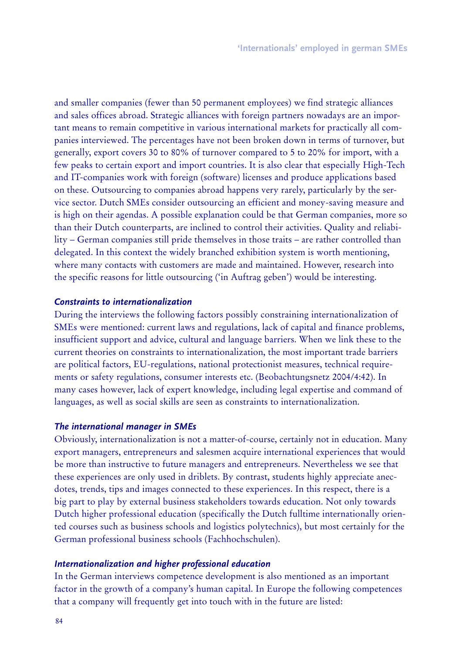and smaller companies (fewer than 50 permanent employees) we find strategic alliances and sales offices abroad. Strategic alliances with foreign partners nowadays are an important means to remain competitive in various international markets for practically all companies interviewed. The percentages have not been broken down in terms of turnover, but generally, export covers 30 to 80% of turnover compared to 5 to 20% for import, with a few peaks to certain export and import countries. It is also clear that especially High-Tech and IT-companies work with foreign (software) licenses and produce applications based on these. Outsourcing to companies abroad happens very rarely, particularly by the service sector. Dutch SMEs consider outsourcing an efficient and money-saving measure and is high on their agendas. A possible explanation could be that German companies, more so than their Dutch counterparts, are inclined to control their activities. Quality and reliability – German companies still pride themselves in those traits – are rather controlled than delegated. In this context the widely branched exhibition system is worth mentioning, where many contacts with customers are made and maintained. However, research into the specific reasons for little outsourcing ('in Auftrag geben') would be interesting.

# *C onstraints to internationalization*

During the interviews the following factors possibly constraining internationalization of SMEs were mentioned: current laws and regulations, lack of capital and finance problems, insufficient support and advice, cultural and language barriers. When we link these to the current theories on constraints to internationalization, the most important trade barriers are political factors, EU-regulations, national protectionist measures, technical requirements or safety regulations, consumer interests etc. (Beobachtungsnetz 2004/4:42). In many cases however, lack of expert knowledge, including legal expertise and command of languages, as well as social skills are seen as constraints to internationalization.

#### *T he international m anag er in S M E s*

Obviously, internationalization is not a matter-of-course, certainly not in education. Many export managers, entrepreneurs and salesmen acquire international experiences that would be more than instructive to future managers and entrepreneurs. Nevertheless we see that these experiences are only used in driblets. By contrast, students highly appreciate anecdotes, trends, tips and images connected to these experiences. In this respect, there is a big part to play by external business stakeholders towards education. Not only towards Dutch higher professional education (specifically the Dutch fulltime internationally oriented courses such as business schools and logistics polytechnics), but most certainly for the German professional business schools (Fachhochschulen).

#### *Internationalization and hig her p rofessional ed ucation*

In the German interviews competence development is also mentioned as an important factor in the growth of a company's human capital. In Europe the following competences that a company will frequently get into touch with in the future are listed: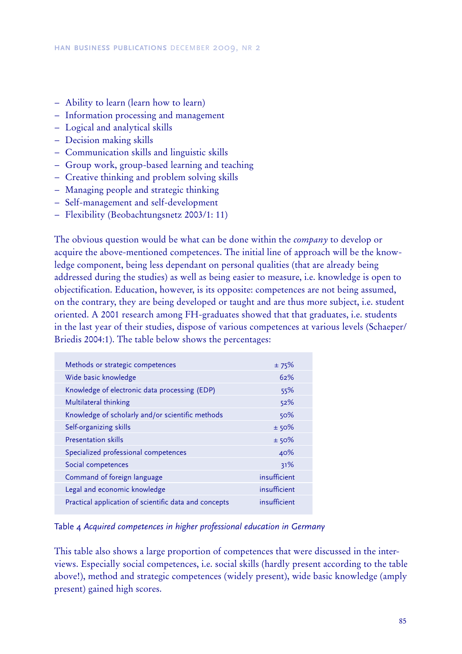- − Ability to learn (learn how to learn)
- − Information processing and management
- − Logical and analytical skills
- − Decision making skills
- − Communication skills and linguistic skills
- − Group work, group-based learning and teaching
- − Creative thinking and problem solving skills
- − Managing people and strategic thinking
- − Self-management and self-development
- − Flexibility (Beobachtungsnetz 2003/1: 11)

The obvious question would be what can be done within the *company* to develop or acquire the above-mentioned competences. The initial line of approach will be the knowledge component, being less dependant on personal qualities (that are already being addressed during the studies) as well as being easier to measure, i.e. knowledge is open to objectification. Education, however, is its opposite: competences are not being assumed, on the contrary, they are being developed or taught and are thus more subject, i.e. student oriented. A 2001 research among FH-graduates showed that that graduates, i.e. students in the last year of their studies, dispose of various competences at various levels (Schaeper/ Briedis 2004:1). The table below shows the percentages:

| Methods or strategic competences                      | ±75%         |
|-------------------------------------------------------|--------------|
| Wide basic knowledge                                  | 62%          |
| Knowledge of electronic data processing (EDP)         | 55%          |
| Multilateral thinking                                 | 52%          |
| Knowledge of scholarly and/or scientific methods      | 50%          |
| Self-organizing skills                                | ± 50%        |
| <b>Presentation skills</b>                            | ±50%         |
| Specialized professional competences                  | 40%          |
| Social competences                                    | 31%          |
| Command of foreign language                           | insufficient |
| Legal and economic knowledge                          | insufficient |
| Practical application of scientific data and concepts | insufficient |

## Table 4 *A cq uired competences in h ig h er professiona l ed uca tion in G erma ny*

This table also shows a large proportion of competences that were discussed in the interviews. Especially social competences, i.e. social skills (hardly present according to the table above!), method and strategic competences (widely present), wide basic knowledge (amply present) gained high scores.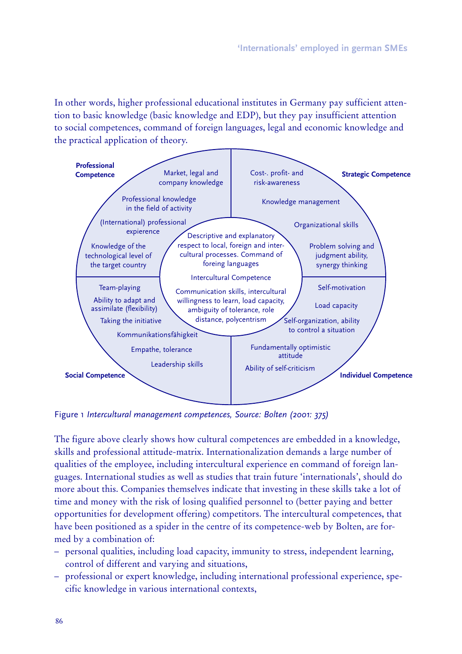In other words, higher professional educational institutes in Germany pay sufficient attention to basic knowledge (basic knowledge and EDP), but they pay insufficient attention to social competences, command of foreign languages, legal and economic knowledge and the practical application of theory.



Figure 1 Intercultural management competences, Source: Bolten (2001: 375)

The figure above clearly shows how cultural competences are embedded in a knowledge, skills and professional attitude-matrix. Internationalization demands a large number of qualities of the employee, including intercultural experience en command of foreign languages. International studies as well as studies that train future 'internationals', should do more about this. Companies themselves indicate that investing in these skills take a lot of time and money with the risk of losing qualified personnel to (better paying and better opportunities for development offering) competitors. The intercultural competences, that have been positioned as a spider in the centre of its competence-web by Bolten, are formed by a combination of:

- personal qualities, including load capacity, immunity to stress, independent learning, control of different and varying and situations,
- professional or expert knowledge, including international professional experience, specific knowledge in various international contexts,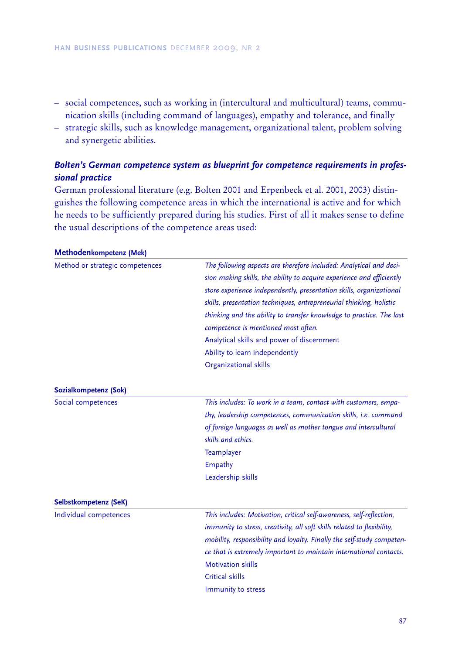- social competences, such as working in (intercultural and multicultural) teams, communication skills (including command of languages), empathy and tolerance, and finally
- strategic skills, such as knowledge management, organizational talent, problem solving and synergetic abilities.

# Bolten's German competence system as blueprint for competence requirements in professional practice

German professional literature (e.g. Bolten 2001 and Erpenbeck et al. 2001, 2003) distinguishes the following competence areas in which the international is active and for which he needs to be sufficiently prepared during his studies. First of all it makes sense to define the usual descriptions of the competence areas used:

| Method or strategic competences | The following aspects are therefore included: Analytical and deci-<br>sion making skills, the ability to acquire experience and efficiently<br>store experience independently, presentation skills, organizational<br>skills, presentation techniques, entrepreneurial thinking, holistic<br>thinking and the ability to transfer knowledge to practice. The last<br>competence is mentioned most often.<br>Analytical skills and power of discernment<br>Ability to learn independently<br>Organizational skills |
|---------------------------------|-------------------------------------------------------------------------------------------------------------------------------------------------------------------------------------------------------------------------------------------------------------------------------------------------------------------------------------------------------------------------------------------------------------------------------------------------------------------------------------------------------------------|
| Sozialkompetenz (Sok)           |                                                                                                                                                                                                                                                                                                                                                                                                                                                                                                                   |
| Social competences              | This includes: To work in a team, contact with customers, empa-<br>thy, leadership competences, communication skills, i.e. command<br>of foreign languages as well as mother tongue and intercultural<br>skills and ethics.<br>Teamplayer<br>Empathy<br>Leadership skills                                                                                                                                                                                                                                         |
| Selbstkompetenz (SeK)           |                                                                                                                                                                                                                                                                                                                                                                                                                                                                                                                   |
| Individual competences          | This includes: Motivation, critical self-awareness, self-reflection,<br>immunity to stress, creativity, all soft skills related to flexibility,<br>mobility, responsibility and loyalty. Finally the self-study competen-<br>ce that is extremely important to maintain international contacts.<br><b>Motivation skills</b><br>Critical skills<br>Immunity to stress                                                                                                                                              |

#### Methodenkompetenz (Mek)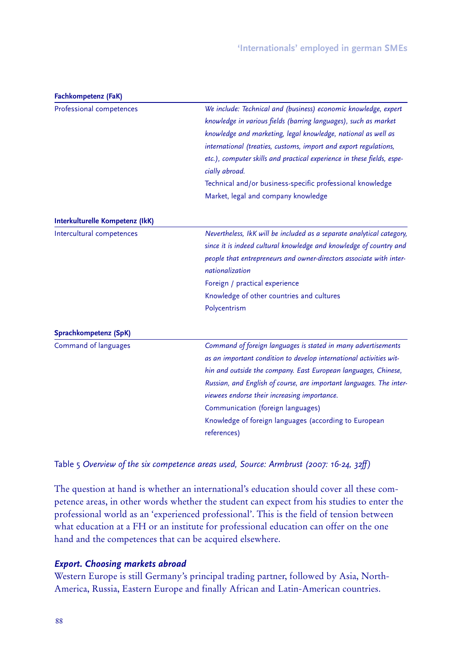| Fachkompetenz (FaK)             |                                                                        |  |  |  |
|---------------------------------|------------------------------------------------------------------------|--|--|--|
| Professional competences        | We include: Technical and (business) economic knowledge, expert        |  |  |  |
|                                 | knowledge in various fields (barring languages), such as market        |  |  |  |
|                                 | knowledge and marketing, legal knowledge, national as well as          |  |  |  |
|                                 | international (treaties, customs, import and export regulations,       |  |  |  |
|                                 | etc.), computer skills and practical experience in these fields, espe- |  |  |  |
|                                 | cially abroad.                                                         |  |  |  |
|                                 | Technical and/or business-specific professional knowledge              |  |  |  |
|                                 | Market, legal and company knowledge                                    |  |  |  |
| Interkulturelle Kompetenz (IkK) |                                                                        |  |  |  |
| Intercultural competences       | Nevertheless, IkK will be included as a separate analytical category,  |  |  |  |
|                                 | since it is indeed cultural knowledge and knowledge of country and     |  |  |  |
|                                 | people that entrepreneurs and owner-directors associate with inter-    |  |  |  |
|                                 | nationalization                                                        |  |  |  |
|                                 | Foreign / practical experience                                         |  |  |  |
|                                 | Knowledge of other countries and cultures                              |  |  |  |
|                                 | Polycentrism                                                           |  |  |  |
| Sprachkompetenz (SpK)           |                                                                        |  |  |  |
| Command of languages            | Command of foreign languages is stated in many advertisements          |  |  |  |
|                                 | as an important condition to develop international activities wit-     |  |  |  |
|                                 | hin and outside the company. East European languages, Chinese,         |  |  |  |
|                                 | Russian, and English of course, are important languages. The inter-    |  |  |  |
|                                 | viewees endorse their increasing importance.                           |  |  |  |
|                                 | Communication (foreign languages)                                      |  |  |  |
|                                 | Knowledge of foreign languages (according to European                  |  |  |  |
|                                 | references)                                                            |  |  |  |
|                                 |                                                                        |  |  |  |

Table 5 Overview of the six competence areas used, Source: Armbrust (2007: 16-24, 32ff)

The question at hand is whether an international's education should cover all these competence areas, in other words whether the student can expect from his studies to enter the professional world as an 'experienced professional'. This is the field of tension between what education at a FH or an institute for professional education can offer on the one hand and the competences that can be acquired elsewhere.

# **Export. Choosing markets abroad**

Western Europe is still Germany's principal trading partner, followed by Asia, North-America, Russia, Eastern Europe and finally African and Latin-American countries.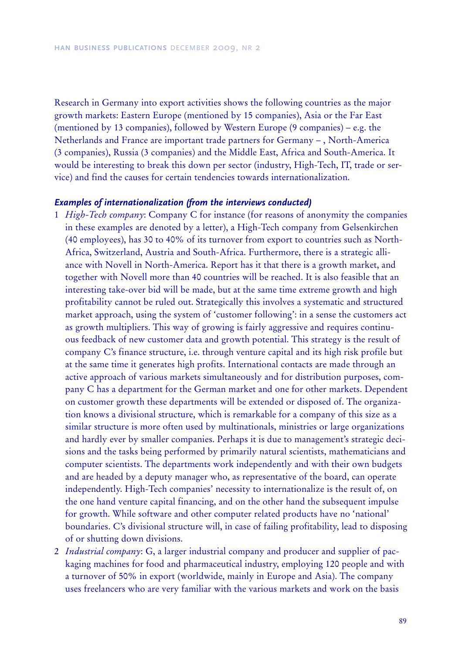Research in Germany into export activities shows the following countries as the major growth markets: Eastern Europe (mentioned by 15 companies), Asia or the Far East (mentioned by 13 companies), followed by Western Europe (9 companies) – e.g. the Netherlands and France are important trade partners for Germany – , North-America (3 companies), Russia (3 companies) and the Middle East, Africa and South-America. It would be interesting to break this down per sector (industry, High-Tech, IT, trade or service) and find the causes for certain tendencies towards internationalization.

#### *E x am p les of internationalization (from the interv iew s cond ucted )*

- 1 *H igh-T ech company*: Company C for instance (for reasons of anonymity the companies in these examples are denoted by a letter), a High-Tech company from Gelsenkirchen (40 employees), has 30 to 40% of its turnover from export to countries such as North-Africa, Switzerland, Austria and South-Africa. Furthermore, there is a strategic alliance with Novell in North-America. Report has it that there is a growth market, and together with Novell more than 40 countries will be reached. It is also feasible that an interesting take-over bid will be made, but at the same time extreme growth and high profitability cannot be ruled out. Strategically this involves a systematic and structured market approach, using the system of 'customer following': in a sense the customers act as growth multipliers. This way of growing is fairly aggressive and requires continuous feedback of new customer data and growth potential. This strategy is the result of company C's finance structure, i.e. through venture capital and its high risk profile but at the same time it generates high profits. International contacts are made through an active approach of various markets simultaneously and for distribution purposes, company C has a department for the German market and one for other markets. Dependent on customer growth these departments will be extended or disposed of. The organization knows a divisional structure, which is remarkable for a company of this size as a similar structure is more often used by multinationals, ministries or large organizations and hardly ever by smaller companies. Perhaps it is due to management's strategic decisions and the tasks being performed by primarily natural scientists, mathematicians and computer scientists. The departments work independently and with their own budgets and are headed by a deputy manager who, as representative of the board, can operate independently. High-Tech companies' necessity to internationalize is the result of, on the one hand venture capital financing, and on the other hand the subsequent impulse for growth. While software and other computer related products have no 'national' boundaries. C's divisional structure will, in case of failing profitability, lead to disposing of or shutting down divisions.
- 2 *I ndustrial company*: G, a larger industrial company and producer and supplier of packaging machines for food and pharmaceutical industry, employing 120 people and with a turnover of 50% in export (worldwide, mainly in Europe and Asia). The company uses freelancers who are very familiar with the various markets and work on the basis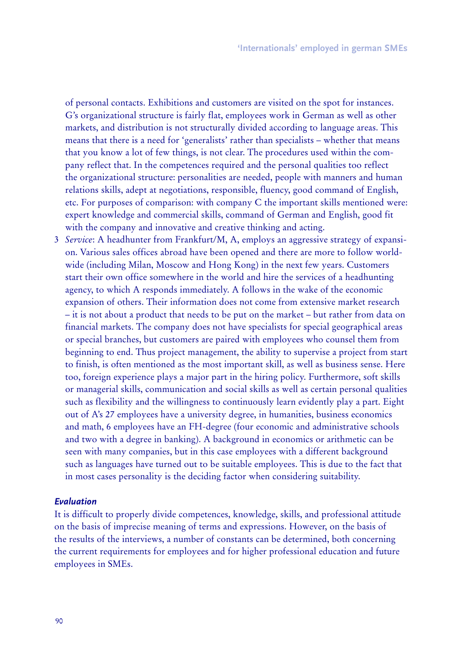of personal contacts. Exhibitions and customers are visited on the spot for instances. G's organizational structure is fairly flat, employees work in German as well as other markets, and distribution is not structurally divided according to language areas. This means that there is a need for 'generalists' rather than specialists – whether that means that you know a lot of few things, is not clear. The procedures used within the company reflect that. In the competences required and the personal qualities too reflect the organizational structure: personalities are needed, people with manners and human relations skills, adept at negotiations, responsible, fluency, good command of English, etc. For purposes of comparison: with company C the important skills mentioned were: expert knowledge and commercial skills, command of German and English, good fit with the company and innovative and creative thinking and acting.

3 *Service*: A headhunter from Frankfurt/M, A, employs an aggressive strategy of expansion. Various sales offices abroad have been opened and there are more to follow worldwide (including Milan, Moscow and Hong Kong) in the next few years. Customers start their own office somewhere in the world and hire the services of a headhunting agency, to which A responds immediately. A follows in the wake of the economic expansion of others. Their information does not come from extensive market research – it is not about a product that needs to be put on the market – but rather from data on financial markets. The company does not have specialists for special geographical areas or special branches, but customers are paired with employees who counsel them from beginning to end. Thus project management, the ability to supervise a project from start to finish, is often mentioned as the most important skill, as well as business sense. Here too, foreign experience plays a major part in the hiring policy. Furthermore, soft skills or managerial skills, communication and social skills as well as certain personal qualities such as flexibility and the willingness to continuously learn evidently play a part. Eight out of A's 27 employees have a university degree, in humanities, business economics and math, 6 employees have an FH-degree (four economic and administrative schools and two with a degree in banking). A background in economics or arithmetic can be seen with many companies, but in this case employees with a different background such as languages have turned out to be suitable employees. This is due to the fact that in most cases personality is the deciding factor when considering suitability.

## *E v aluation*

It is difficult to properly divide competences, knowledge, skills, and professional attitude on the basis of imprecise meaning of terms and expressions. However, on the basis of the results of the interviews, a number of constants can be determined, both concerning the current requirements for employees and for higher professional education and future employees in SMEs.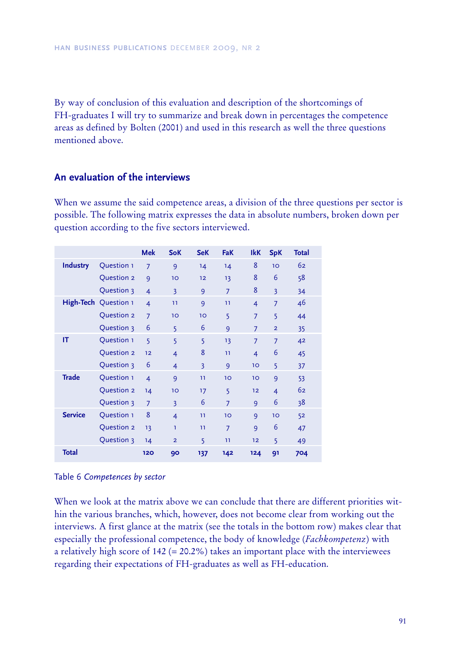By way of conclusion of this evaluation and description of the shortcomings of FH-graduates I will try to summarize and break down in percentages the competence areas as defined by Bolten (2001) and used in this research as well the three questions mentioned above.

# **A n e v a lua tion of th e inte rv ie w s**

When we assume the said competence areas, a division of the three questions per sector is possible. The following matrix expresses the data in absolute numbers, broken down per question according to the five sectors interviewed.

|                 |                      | <b>Mek</b>     | <b>SoK</b>              | <b>SeK</b>              | <b>FaK</b>      | <b>IkK</b>     | <b>SpK</b>     | Total |
|-----------------|----------------------|----------------|-------------------------|-------------------------|-----------------|----------------|----------------|-------|
| <b>Industry</b> | Question 1           | $\overline{7}$ | 9                       | 14                      | 14              | 8              | 10             | 62    |
|                 | Question 2           | 9              | 10                      | 12                      | 13              | 8              | 6              | 58    |
|                 | Question 3           | $\overline{4}$ | $\overline{3}$          | 9                       | $\overline{7}$  | 8              | $\overline{3}$ | 34    |
|                 | High-Tech Question 1 | $\overline{4}$ | 11                      | 9                       | 11              | $\overline{4}$ | $\overline{7}$ | 46    |
|                 | Question 2           | $\overline{7}$ | 10                      | 10                      | 5               | $\overline{7}$ | 5              | 44    |
|                 | Question 3           | 6              | 5                       | 6                       | 9               | $\overline{7}$ | $\overline{2}$ | 35    |
| IT              | Question 1           | 5              | 5                       | 5                       | 13              | $\overline{7}$ | $\overline{7}$ | 42    |
|                 | Question 2           | 12             | $\overline{4}$          | 8                       | 11              | $\overline{4}$ | 6              | 45    |
|                 | Question 3           | 6              | $\overline{4}$          | $\overline{\mathbf{3}}$ | 9               | 10             | 5              | 37    |
| <b>Trade</b>    | Question 1           | $\overline{4}$ | 9                       | 11                      | 10 <sup>°</sup> | 10             | 9              | 53    |
|                 | Question 2           | 14             | 10                      | 17                      | 5               | 12             | $\overline{4}$ | 62    |
|                 | Question 3           | $\overline{7}$ | $\overline{\mathbf{3}}$ | 6                       | $\overline{7}$  | 9              | 6              | 38    |
| <b>Service</b>  | Question 1           | 8              | $\overline{4}$          | 11                      | 10              | 9              | 10             | 52    |
|                 | Question 2           | 13             | T                       | 11                      | $\overline{7}$  | 9              | 6              | 47    |
|                 | Question 3           | 14             | $\overline{2}$          | 5                       | 11              | 12             | 5              | 49    |
| <b>Total</b>    |                      | 120            | 90                      | 137                     | 142             | 124            | 91             | 704   |

## Table 6 *C ompetences by sector*

When we look at the matrix above we can conclude that there are different priorities within the various branches, which, however, does not become clear from working out the interviews. A first glance at the matrix (see the totals in the bottom row) makes clear that especially the professional competence, the body of knowledge (*F achkompetenz*) with a relatively high score of  $142$  (= 20.2%) takes an important place with the interviewees regarding their expectations of FH-graduates as well as FH-education.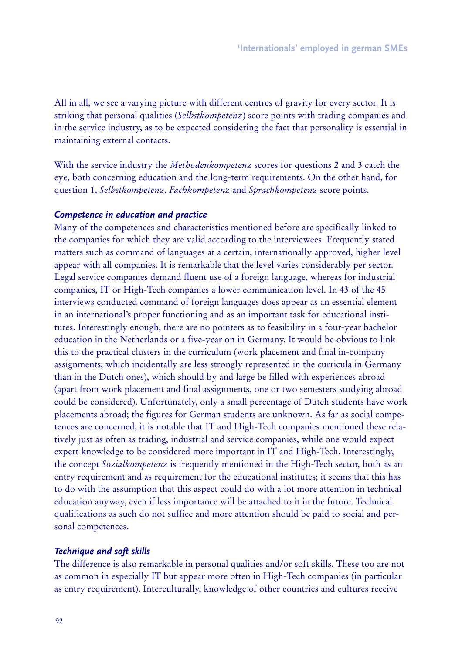All in all, we see a varying picture with different centres of gravity for every sector. It is striking that personal qualities (*Selbstkompetenz*) score points with trading companies and in the service industry, as to be expected considering the fact that personality is essential in maintaining external contacts.

With the service industry the *Methodenkompetenz* scores for questions 2 and 3 catch the eye, both concerning education and the long-term requirements. On the other hand, for question 1, *Selbstkompetenz*, *F achkompetenz* and *Sprachkompetenz* score points.

## *C om p etence in ed ucation and p ractice*

Many of the competences and characteristics mentioned before are specifically linked to the companies for which they are valid according to the interviewees. Frequently stated matters such as command of languages at a certain, internationally approved, higher level appear with all companies. It is remarkable that the level varies considerably per sector. Legal service companies demand fluent use of a foreign language, whereas for industrial companies, IT or High-Tech companies a lower communication level. In 43 of the 45 interviews conducted command of foreign languages does appear as an essential element in an international's proper functioning and as an important task for educational institutes. Interestingly enough, there are no pointers as to feasibility in a four-year bachelor education in the Netherlands or a five-year on in Germany. It would be obvious to link this to the practical clusters in the curriculum (work placement and final in-company assignments; which incidentally are less strongly represented in the curricula in Germany than in the Dutch ones), which should by and large be filled with experiences abroad (apart from work placement and final assignments, one or two semesters studying abroad could be considered). Unfortunately, only a small percentage of Dutch students have work placements abroad; the figures for German students are unknown. As far as social competences are concerned, it is notable that IT and High-Tech companies mentioned these relatively just as often as trading, industrial and service companies, while one would expect expert knowledge to be considered more important in IT and High-Tech. Interestingly, the concept *Sozialkompetenz* is frequently mentioned in the High-Tech sector, both as an entry requirement and as requirement for the educational institutes; it seems that this has to do with the assumption that this aspect could do with a lot more attention in technical education anyway, even if less importance will be attached to it in the future. Technical qualifications as such do not suffice and more attention should be paid to social and personal competences.

#### *T echniq ue and soft sk ills*

The difference is also remarkable in personal qualities and/or soft skills. These too are not as common in especially IT but appear more often in High-Tech companies (in particular as entry requirement). Interculturally, knowledge of other countries and cultures receive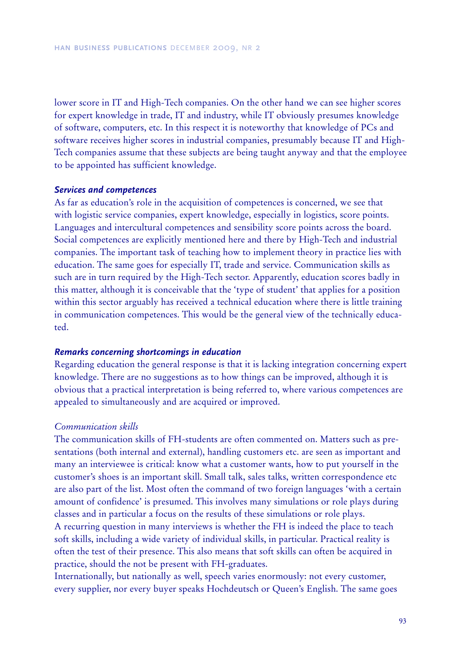lower score in IT and High-Tech companies. On the other hand we can see higher scores for expert knowledge in trade, IT and industry, while IT obviously presumes knowledge of software, computers, etc. In this respect it is noteworthy that knowledge of PCs and software receives higher scores in industrial companies, presumably because IT and High-Tech companies assume that these subjects are being taught anyway and that the employee to be appointed has sufficient knowledge.

#### *S erv ices and com p etences*

As far as education's role in the acquisition of competences is concerned, we see that with logistic service companies, expert knowledge, especially in logistics, score points. Languages and intercultural competences and sensibility score points across the board. Social competences are explicitly mentioned here and there by High-Tech and industrial companies. The important task of teaching how to implement theory in practice lies with education. The same goes for especially IT, trade and service. Communication skills as such are in turn required by the High-Tech sector. Apparently, education scores badly in this matter, although it is conceivable that the 'type of student' that applies for a position within this sector arguably has received a technical education where there is little training in communication competences. This would be the general view of the technically educated.

## *R em ark s concerning shortcom ing s in ed ucation*

Regarding education the general response is that it is lacking integration concerning expert knowledge. There are no suggestions as to how things can be improved, although it is obvious that a practical interpretation is being referred to, where various competences are appealed to simultaneously and are acquired or improved.

#### *C ommunication skills*

The communication skills of FH-students are often commented on. Matters such as presentations (both internal and external), handling customers etc. are seen as important and many an interviewee is critical: know what a customer wants, how to put yourself in the customer's shoes is an important skill. Small talk, sales talks, written correspondence etc are also part of the list. Most often the command of two foreign languages 'with a certain amount of confidence' is presumed. This involves many simulations or role plays during classes and in particular a focus on the results of these simulations or role plays.

A recurring question in many interviews is whether the FH is indeed the place to teach soft skills, including a wide variety of individual skills, in particular. Practical reality is often the test of their presence. This also means that soft skills can often be acquired in practice, should the not be present with FH-graduates.

Internationally, but nationally as well, speech varies enormously: not every customer, every supplier, nor every buyer speaks Hochdeutsch or Queen's English. The same goes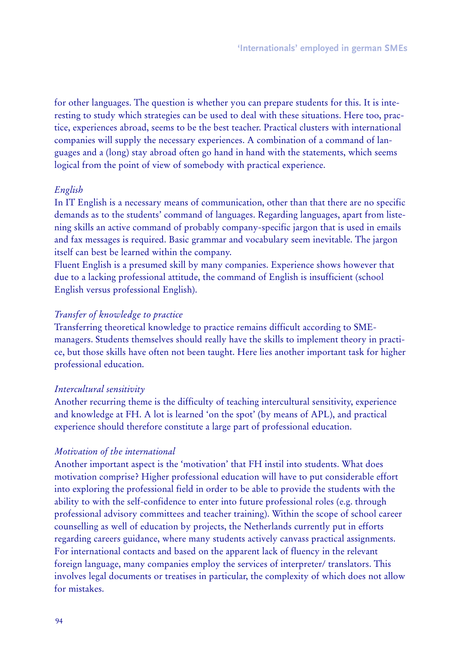for other languages. The question is whether you can prepare students for this. It is interesting to study which strategies can be used to deal with these situations. Here too, practice, experiences abroad, seems to be the best teacher. Practical clusters with international companies will supply the necessary experiences. A combination of a command of languages and a (long) stay abroad often go hand in hand with the statements, which seems logical from the point of view of somebody with practical experience.

## *English*

In IT English is a necessary means of communication, other than that there are no specific demands as to the students' command of languages. Regarding languages, apart from listening skills an active command of probably company-specific jargon that is used in emails and fax messages is required. Basic grammar and vocabulary seem inevitable. The jargon itself can best be learned within the company.

Fluent English is a presumed skill by many companies. Experience shows however that due to a lacking professional attitude, the command of English is insufficient (school English versus professional English).

## *T ransfer of know ledge to practice*

Transferring theoretical knowledge to practice remains difficult according to SMEmanagers. Students themselves should really have the skills to implement theory in practice, but those skills have often not been taught. Here lies another important task for higher professional education.

#### *I ntercultural sensitiv ity*

Another recurring theme is the difficulty of teaching intercultural sensitivity, experience and knowledge at FH. A lot is learned 'on the spot' (by means of APL), and practical experience should therefore constitute a large part of professional education.

#### *Motiv ation of the international*

Another important aspect is the 'motivation' that FH instil into students. What does motivation comprise? Higher professional education will have to put considerable effort into exploring the professional field in order to be able to provide the students with the ability to with the self-confidence to enter into future professional roles (e.g. through professional advisory committees and teacher training). Within the scope of school career counselling as well of education by projects, the Netherlands currently put in efforts regarding careers guidance, where many students actively canvass practical assignments. For international contacts and based on the apparent lack of fluency in the relevant foreign language, many companies employ the services of interpreter/ translators. This involves legal documents or treatises in particular, the complexity of which does not allow for mistakes.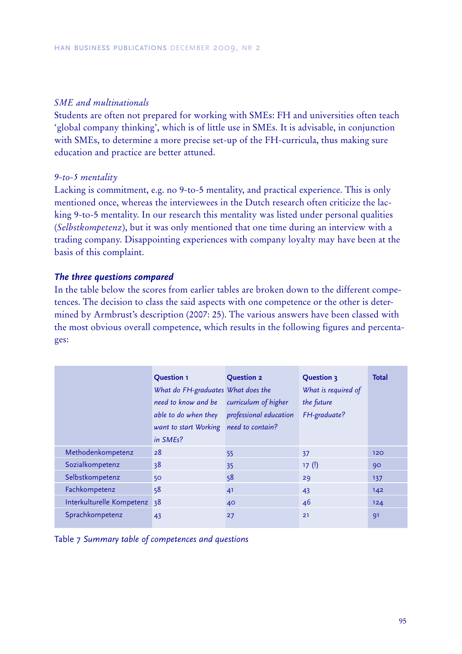## SME and multinationals

Students are often not prepared for working with SMEs: FH and universities often teach 'global company thinking', which is of little use in SMEs. It is advisable, in conjunction with SMEs, to determine a more precise set-up of the FH-curricula, thus making sure education and practice are better attuned.

## $9-to-5$  mentality

Lacking is commitment, e.g. no 9-to-5 mentality, and practical experience. This is only mentioned once, whereas the interviewees in the Dutch research often criticize the lacking 9-to-5 mentality. In our research this mentality was listed under personal qualities (Selbstkompetenz), but it was only mentioned that one time during an interview with a trading company. Disappointing experiences with company loyalty may have been at the basis of this complaint.

## The three questions compared

In the table below the scores from earlier tables are broken down to the different competences. The decision to class the said aspects with one competence or the other is determined by Armbrust's description (2007: 25). The various answers have been classed with the most obvious overall competence, which results in the following figures and percentages:

|                              | <b>Question 1</b>                           | <b>Question 2</b>    | <b>Question 3</b>   | <b>Total</b> |
|------------------------------|---------------------------------------------|----------------------|---------------------|--------------|
|                              | What do FH-graduates What does the          |                      | What is required of |              |
|                              | need to know and be                         | curriculum of higher | the future          |              |
|                              | able to do when they professional education |                      | FH-graduate?        |              |
|                              | want to start Working need to contain?      |                      |                     |              |
|                              | in SMEs?                                    |                      |                     |              |
| Methodenkompetenz            | 28                                          | 55                   | 37                  | 120          |
| Sozialkompetenz              | 38                                          | 35                   | 17(!)               | 90           |
| Selbstkompetenz              | 50                                          | 58                   | 29                  | 137          |
| Fachkompetenz                | 58                                          | 41                   | 43                  | 142          |
| Interkulturelle Kompetenz 38 |                                             | 40                   | 46                  | 124          |
| Sprachkompetenz              | 43                                          | 27                   | 21                  | 91           |

Table 7 Summary table of competences and questions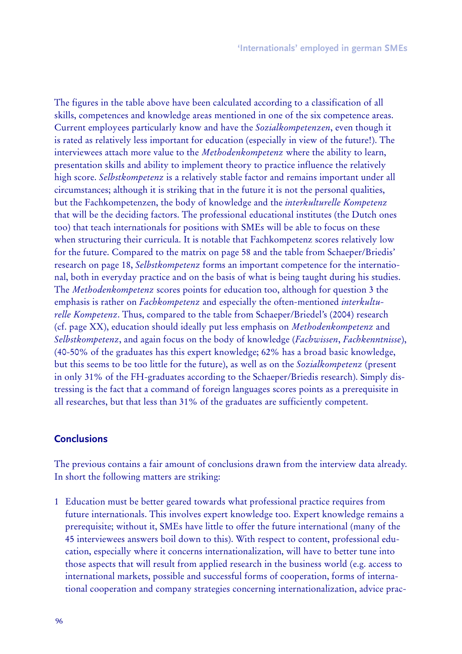The figures in the table above have been calculated according to a classification of all skills, competences and knowledge areas mentioned in one of the six competence areas. Current employees particularly know and have the *Sozialkompetenzen*, even though it is rated as relatively less important for education (especially in view of the future!). The interviewees attach more value to the *Methodenkompetenz* where the ability to learn, presentation skills and ability to implement theory to practice influence the relatively high score. *Selbstkompetenz* is a relatively stable factor and remains important under all circumstances; although it is striking that in the future it is not the personal qualities, but the Fachkompetenzen, the body of knowledge and the *interkulturelle K ompetenz* that will be the deciding factors. The professional educational institutes (the Dutch ones too) that teach internationals for positions with SMEs will be able to focus on these when structuring their curricula. It is notable that Fachkompetenz scores relatively low for the future. Compared to the matrix on page 58 and the table from Schaeper/Briedis' research on page 18, *Selbstkompetenz* forms an important competence for the international, both in everyday practice and on the basis of what is being taught during his studies. The *Methodenkompetenz* scores points for education too, although for question 3 the emphasis is rather on *F achkompetenz* and especially the often-mentioned *interkulturelle Kompetenz*. Thus, compared to the table from *Schaeper*/Briedel's (2004) research (cf. page XX), education should ideally put less emphasis on *Methodenkompetenz* and *Selbstkompetenz*, and again focus on the body of knowledge (*F achw issen*, *F achkenntnisse*), (40-50% of the graduates has this expert knowledge; 62% has a broad basic knowledge, but this seems to be too little for the future), as well as on the *Sozialkompetenz* (present in only 31% of the FH-graduates according to the Schaeper/Briedis research). Simply distressing is the fact that a command of foreign languages scores points as a prerequisite in all researches, but that less than 31% of the graduates are sufficiently competent.

## **C onclusions**

The previous contains a fair amount of conclusions drawn from the interview data already. In short the following matters are striking:

1 Education must be better geared towards what professional practice requires from future internationals. This involves expert knowledge too. Expert knowledge remains a prerequisite; without it, SMEs have little to offer the future international (many of the 45 interviewees answers boil down to this). With respect to content, professional education, especially where it concerns internationalization, will have to better tune into those aspects that will result from applied research in the business world (e.g. access to international markets, possible and successful forms of cooperation, forms of international cooperation and company strategies concerning internationalization, advice prac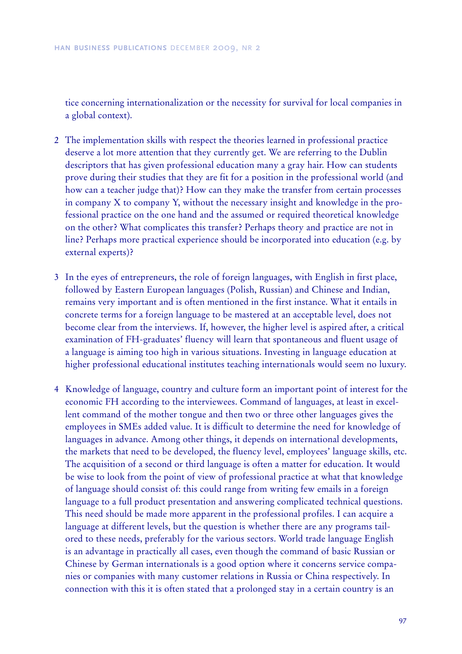tice concerning internationalization or the necessity for survival for local companies in a global context).

- 2 The implementation skills with respect the theories learned in professional practice deserve a lot more attention that they currently get. We are referring to the Dublin descriptors that has given professional education many a gray hair. How can students prove during their studies that they are fit for a position in the professional world (and how can a teacher judge that)? How can they make the transfer from certain processes in company X to company Y, without the necessary insight and knowledge in the professional practice on the one hand and the assumed or required theoretical knowledge on the other? What complicates this transfer? Perhaps theory and practice are not in line? Perhaps more practical experience should be incorporated into education (e.g. by external experts)?
- 3 In the eyes of entrepreneurs, the role of foreign languages, with English in first place, followed by Eastern European languages (Polish, Russian) and Chinese and Indian, remains very important and is often mentioned in the first instance. What it entails in concrete terms for a foreign language to be mastered at an acceptable level, does not become clear from the interviews. If, however, the higher level is aspired after, a critical examination of FH-graduates' fluency will learn that spontaneous and fluent usage of a language is aiming too high in various situations. Investing in language education at higher professional educational institutes teaching internationals would seem no luxury.
- 4 Knowledge of language, country and culture form an important point of interest for the economic FH according to the interviewees. Command of languages, at least in excellent command of the mother tongue and then two or three other languages gives the employees in SMEs added value. It is difficult to determine the need for knowledge of languages in advance. Among other things, it depends on international developments, the markets that need to be developed, the fluency level, employees' language skills, etc. The acquisition of a second or third language is often a matter for education. It would be wise to look from the point of view of professional practice at what that knowledge of language should consist of: this could range from writing few emails in a foreign language to a full product presentation and answering complicated technical questions. This need should be made more apparent in the professional profiles. I can acquire a language at different levels, but the question is whether there are any programs tailored to these needs, preferably for the various sectors. World trade language English is an advantage in practically all cases, even though the command of basic Russian or Chinese by German internationals is a good option where it concerns service companies or companies with many customer relations in Russia or China respectively. In connection with this it is often stated that a prolonged stay in a certain country is an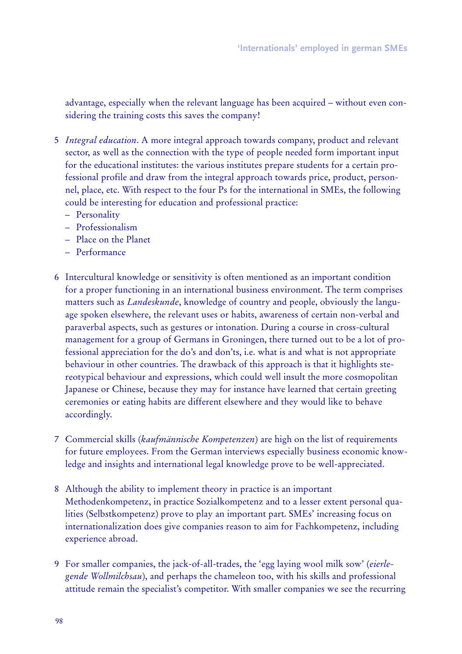advantage, especially when the relevant language has been acquired – without even considering the training costs this saves the company!

- 5 *I ntegral education*. A more integral approach towards company, product and relevant sector, as well as the connection with the type of people needed form important input for the educational institutes: the various institutes prepare students for a certain professional profile and draw from the integral approach towards price, product, personnel, place, etc. With respect to the four Ps for the international in SMEs, the following could be interesting for education and professional practice:
	- Personality
	- P rofessionalism
	- $-$  Place on the Planet
	- $-$  Performance
- 6 Intercultural knowledge or sensitivity is often mentioned as an important condition for a proper functioning in an international business environment. The term comprises matters such as *L andeskunde*, knowledge of country and people, obviously the language spoken elsewhere, the relevant uses or habits, awareness of certain non-verbal and paraverbal aspects, such as gestures or intonation. During a course in cross-cultural management for a group of Germans in Groningen, there turned out to be a lot of professional appreciation for the do's and don'ts, i.e. what is and what is not appropriate behaviour in other countries. The drawback of this approach is that it highlights stereotypical behaviour and expressions, which could well insult the more cosmopolitan Japanese or Chinese, because they may for instance have learned that certain greeting ceremonies or eating habits are different elsewhere and they would like to behave accordingly.
- 7 Commercial skills (*kaufmännische K ompetenzen*) are high on the list of requirements for future employees. From the German interviews especially business economic knowledge and insights and international legal knowledge prove to be well-appreciated.
- 8 Although the ability to implement theory in practice is an important Methodenkompetenz, in practice Sozialkompetenz and to a lesser extent personal qualities (Selbstkompetenz) prove to play an important part. SMEs' increasing focus on internationalization does give companies reason to aim for Fachkompetenz, including experience abroad.
- 9 For smaller companies, the jack-of-all-trades, the 'egg laying wool milk sow' (*eierlegende Wollmilchsau*), and perhaps the chameleon too, with his skills and professional attitude remain the specialist's competitor. With smaller companies we see the recurring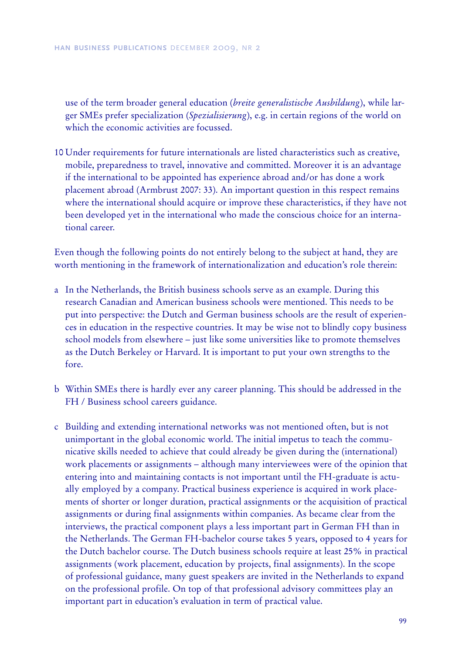use of the term broader general education (*breite generalistische Ausbildung*), while larger SMEs prefer specialization (*Spezialisierung*), e.g. in certain regions of the world on which the economic activities are focussed.

10 Under requirements for future internationals are listed characteristics such as creative, mobile, preparedness to travel, innovative and committed. Moreover it is an advantage if the international to be appointed has experience abroad and/or has done a work placement abroad (Armbrust 2007: 33). An important question in this respect remains where the international should acquire or improve these characteristics, if they have not been developed yet in the international who made the conscious choice for an international career.

Even though the following points do not entirely belong to the subject at hand, they are worth mentioning in the framework of internationalization and education's role therein:

- a In the Netherlands, the British business schools serve as an example. During this research Canadian and American business schools were mentioned. This needs to be put into perspective: the Dutch and German business schools are the result of experiences in education in the respective countries. It may be wise not to blindly copy business school models from elsewhere – just like some universities like to promote themselves as the Dutch Berkeley or Harvard. It is important to put your own strengths to the fore.
- b Within SMEs there is hardly ever any career planning. This should be addressed in the FH / Business school careers guidance.
- c Building and extending international networks was not mentioned often, but is not unimportant in the global economic world. The initial impetus to teach the communicative skills needed to achieve that could already be given during the (international) work placements or assignments – although many interviewees were of the opinion that entering into and maintaining contacts is not important until the FH-graduate is actually employed by a company. Practical business experience is acquired in work placements of shorter or longer duration, practical assignments or the acquisition of practical assignments or during final assignments within companies. As became clear from the interviews, the practical component plays a less important part in German FH than in the Netherlands. The German FH-bachelor course takes 5 years, opposed to 4 years for the Dutch bachelor course. The Dutch business schools require at least 25% in practical assignments (work placement, education by projects, final assignments). In the scope of professional guidance, many guest speakers are invited in the Netherlands to expand on the professional profile. On top of that professional advisory committees play an important part in education's evaluation in term of practical value.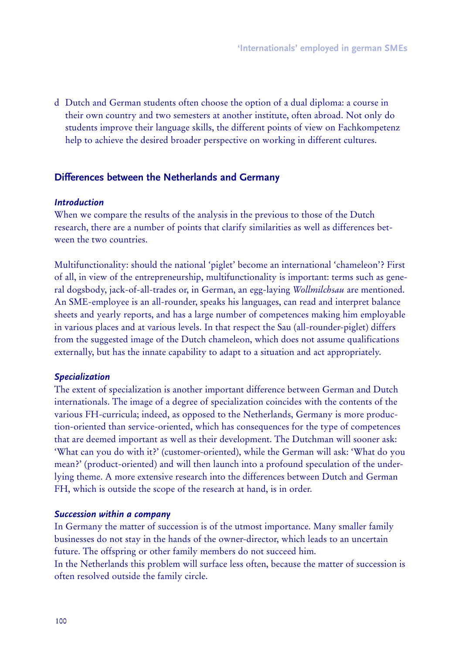d Dutch and German students often choose the option of a dual diploma: a course in their own country and two semesters at another institute, often abroad. Not only do students improve their language skills, the different points of view on Fachkompetenz help to achieve the desired broader perspective on working in different cultures.

## Differences between the Netherlands and Germany

## *Introd uction*

When we compare the results of the analysis in the previous to those of the Dutch research, there are a number of points that clarify similarities as well as differences between the two countries.

Multifunctionality: should the national 'piglet' become an international 'chameleon'? First of all, in view of the entrepreneurship, multifunctionality is important: terms such as general dogsbody, jack-of-all-trades or, in German, an egg-laying *Wollmilchsau* are mentioned. An SME-employee is an all-rounder, speaks his languages, can read and interpret balance sheets and yearly reports, and has a large number of competences making him employable in various places and at various levels. In that respect the Sau (all-rounder-piglet) differs from the suggested image of the Dutch chameleon, which does not assume qualifications externally, but has the innate capability to adapt to a situation and act appropriately.

#### *S p ecialization*

The extent of specialization is another important difference between German and Dutch internationals. The image of a degree of specialization coincides with the contents of the various FH-curricula; indeed, as opposed to the Netherlands, Germany is more production-oriented than service-oriented, which has consequences for the type of competences that are deemed important as well as their development. The Dutchman will sooner ask: 'What can you do with it?' (customer-oriented), while the German will ask: 'What do you mean?' (product-oriented) and will then launch into a profound speculation of the underlying theme. A more extensive research into the differences between Dutch and German FH, which is outside the scope of the research at hand, is in order.

#### *S uccession w ithin a com p any*

In Germany the matter of succession is of the utmost importance. Many smaller family businesses do not stay in the hands of the owner-director, which leads to an uncertain future. The offspring or other family members do not succeed him.

In the Netherlands this problem will surface less often, because the matter of succession is often resolved outside the family circle.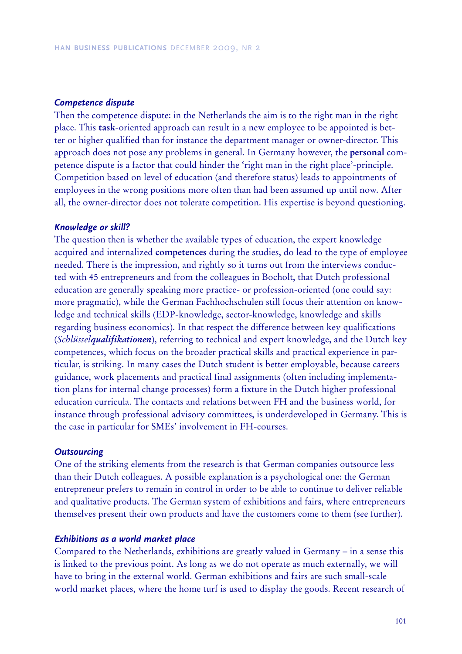#### *C om p etence d isp ute*

Then the competence dispute: in the Netherlands the aim is to the right man in the right place. This **task** -oriented approach can result in a new employee to be appointed is better or higher qualified than for instance the department manager or owner-director. This approach does not pose any problems in general. In Germany however, the **personal** competence dispute is a factor that could hinder the 'right man in the right place'-principle. Competition based on level of education (and therefore status) leads to appointments of employees in the wrong positions more often than had been assumed up until now. After all, the owner-director does not tolerate competition. His expertise is beyond questioning.

#### *K now led g e or sk ill?*

The question then is whether the available types of education, the expert knowledge acquired and internalized **competences** during the studies, do lead to the type of employee needed. There is the impression, and rightly so it turns out from the interviews conducted with 45 entrepreneurs and from the colleagues in Bocholt, that Dutch professional education are generally speaking more practice- or profession-oriented (one could say: more pragmatic), while the German Fachhochschulen still focus their attention on knowledge and technical skills (EDP -knowledge, sector-knowledge, knowledge and skills regarding business economics). In that respect the difference between key qualifications (*Schlü sselqualifikationen*), referring to technical and expert knowledge, and the Dutch key competences, which focus on the broader practical skills and practical experience in particular, is striking. In many cases the Dutch student is better employable, because careers guidance, work placements and practical final assignments (often including implementation plans for internal change processes) form a fixture in the Dutch higher professional education curricula. The contacts and relations between FH and the business world, for instance through professional advisory committees, is underdeveloped in Germany. This is the case in particular for SMEs' involvement in FH-courses.

#### *O utsourcing*

One of the striking elements from the research is that German companies outsource less than their Dutch colleagues. A possible explanation is a psychological one: the German entrepreneur prefers to remain in control in order to be able to continue to deliver reliable and qualitative products. The German system of exhibitions and fairs, where entrepreneurs themselves present their own products and have the customers come to them (see further).

#### *E x hib itions as a w orld m ark et p lace*

Compared to the Netherlands, exhibitions are greatly valued in Germany – in a sense this is linked to the previous point. As long as we do not operate as much externally, we will have to bring in the external world. German exhibitions and fairs are such small-scale world market places, where the home turf is used to display the goods. Recent research of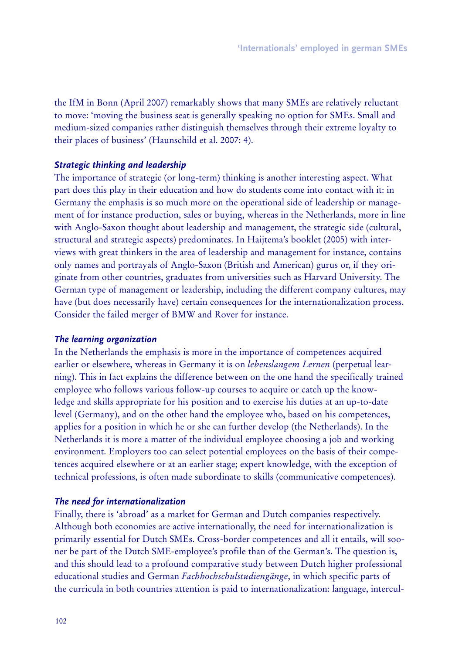the IfM in Bonn (April 2007) remarkably shows that many SMEs are relatively reluctant to move: 'moving the business seat is generally speaking no option for SMEs. Small and medium-sized companies rather distinguish themselves through their extreme loyalty to their places of business' (Haunschild et al. 2007: 4).

## *S trateg ic think ing and lead ership*

The importance of strategic (or long-term) thinking is another interesting aspect. What part does this play in their education and how do students come into contact with it: in Germany the emphasis is so much more on the operational side of leadership or management of for instance production, sales or buying, whereas in the Netherlands, more in line with Anglo-Saxon thought about leadership and management, the strategic side (cultural, structural and strategic aspects) predominates. In Haijtema's booklet (2005) with interviews with great thinkers in the area of leadership and management for instance, contains only names and portrayals of Anglo-Saxon (British and American) gurus or, if they originate from other countries, graduates from universities such as Harvard University. The German type of management or leadership, including the different company cultures, may have (but does necessarily have) certain consequences for the internationalization process. Consider the failed merger of BMW and Rover for instance.

## *T he learning org anization*

In the Netherlands the emphasis is more in the importance of competences acquired earlier or elsewhere, whereas in Germany it is on *lebenslangem Lernen* (perpetual learning). This in fact explains the difference between on the one hand the specifically trained employee who follows various follow-up courses to acquire or catch up the knowledge and skills appropriate for his position and to exercise his duties at an up-to-date level (Germany), and on the other hand the employee who, based on his competences, applies for a position in which he or she can further develop (the Netherlands). In the Netherlands it is more a matter of the individual employee choosing a job and working environment. Employers too can select potential employees on the basis of their competences acquired elsewhere or at an earlier stage; expert knowledge, with the exception of technical professions, is often made subordinate to skills (communicative competences).

## *T he need for internationalization*

Finally, there is 'abroad' as a market for German and Dutch companies respectively. Although both economies are active internationally, the need for internationalization is primarily essential for Dutch SMEs. Cross-border competences and all it entails, will sooner be part of the Dutch SME-employee's profile than of the German's. The question is, and this should lead to a profound comparative study between Dutch higher professional educational studies and German *F achhochschulstudiengänge*, in which specific parts of the curricula in both countries attention is paid to internationalization: language, intercul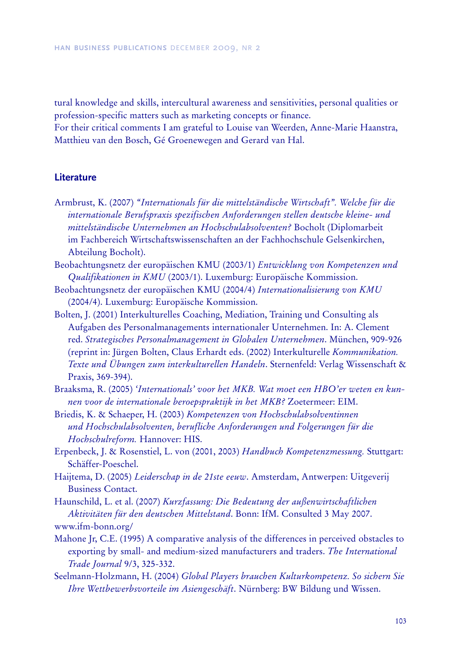tural knowledge and skills, intercultural awareness and sensitivities, personal qualities or profession-specific matters such as marketing concepts or finance.

For their critical comments I am grateful to Louise van Weerden, Anne-Marie Haanstra, Matthieu van den Bosch, Gé Groenewegen and Gerard van Hal.

## **Literature**

- Armbrust, K. (2007) *" I nternationals fü r die mittelständische Wirtschaft" . Welche fü r die internationale Berufsprax is spezifischen Anforderungen stellen deutsche kleine- und mittelständische Unternehmen an H ochschulabsolv enten?* Bocholt (Diplomarbeit im Fachbereich Wirtschaftswissenschaften an der Fachhochschule Gelsenkirchen, Abteilung Bocholt).
- Beobachtungsnetz der europä ischen KMU (2003/1) *Entw icklung v on K ompetenzen und Qualifikationen in KMU* (2003/1). Luxemburg: Europäische Kommission.
- Beobachtungsnetz der europäischen KMU (2004/4) Internationalisierung von KMU (2004/4). Luxemburg: Europäische Kommission.
- Bolten, J. (2001) Interkulturelles Coaching, Mediation, Training und Consulting als Aufgaben des Personalmanagements internationaler Unternehmen. In: A. Clement red. *Strategisches P ersonalmanagement in Globalen Unternehmen*. Mü nchen, 909-926 (reprint in: Jürgen Bolten, Claus Erhardt eds. (2002) Interkulturelle *Kommunikation*. *T ex te und Ü bungen zum interkulturellen H andeln*. Sternenfeld: Verlag Wissenschaft & Praxis, 369-394).
- Braaksma, R. (2005) *'I nternationals' v oor het MK B. Wat moet een H BO 'er w eten en kunnen v oor de internationale beroepspraktijk in het MK B?* Z oetermeer: EIM.
- Briedis, K. & Schaeper, H. (2003) *K ompetenzen v on H ochschulabsolv entinnen und H ochschulabsolv enten, berufliche Anforderungen und F olgerungen fü r die H ochschulreform.* Hannover: HIS.
- Erpenbeck, J. & Rosenstiel, L. von (2001, 2003) *H andbuch K ompetenzmessung.* Stuttgart: Schäffer-Poeschel.
- Haijtema, D. (2005) *L eiderschap in de 2 1ste eeuw* . Amsterdam, Antwerpen: Uitgeverij Business Contact.

Haunschild, L. et al. (2007) *K urzfassung: D ie Bedeutung der auß enw irtschaftlichen Aktiv itäten fü r den deutschen Mittelstand*. Bonn: IfM. Consulted 3 May 2007. www.ifm-bonn.org/

- Mahone Jr, C.E. (1995) A comparative analysis of the differences in perceived obstacles to exporting by small- and medium-sized manufacturers and traders. *The International T rade J ournal* 9/3, 325-332.
- Seelmann-Holzmann, H. (2004) *Global P layers brauchen K ulturkompetenz. So sichern Sie Ibre Wettbewerbsvorteile im Asiengeschäft*. Nürnberg: BW Bildung und Wissen.